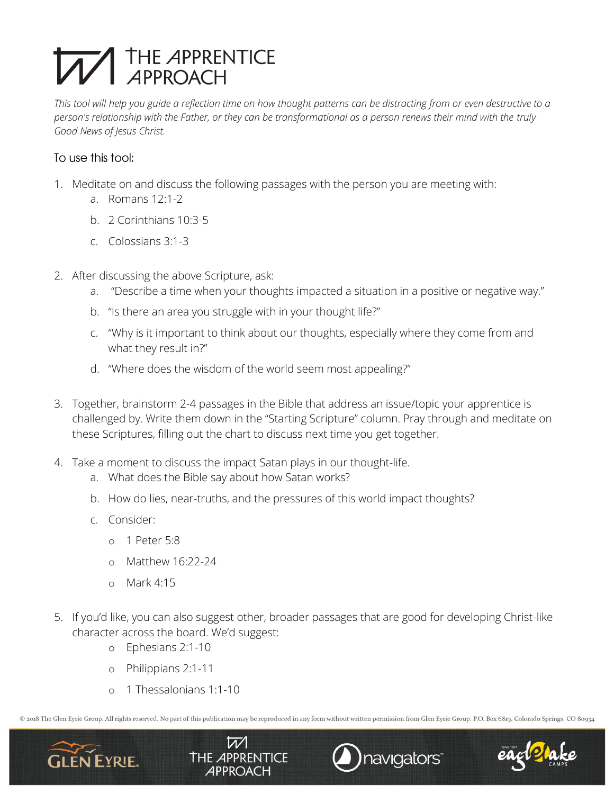## **WE APPRENTICE**

*This tool will help you guide a reflection time on how thought patterns can be distracting from or even destructive to a person's relationship with the Father, or they can be transformational as a person renews their mind with the truly Good News of Jesus Christ.*

## To use this tool:

- 1. Meditate on and discuss the following passages with the person you are meeting with:
	- a. Romans 12:1-2
	- b. 2 Corinthians 10:3-5
	- c. Colossians 3:1-3
- 2. After discussing the above Scripture, ask:
	- a. "Describe a time when your thoughts impacted a situation in a positive or negative way."
	- b. "Is there an area you struggle with in your thought life?"
	- c. "Why is it important to think about our thoughts, especially where they come from and what they result in?"
	- d. "Where does the wisdom of the world seem most appealing?"
- 3. Together, brainstorm 2-4 passages in the Bible that address an issue/topic your apprentice is challenged by. Write them down in the "Starting Scripture" column. Pray through and meditate on these Scriptures, filling out the chart to discuss next time you get together.
- 4. Take a moment to discuss the impact Satan plays in our thought-life.
	- a. What does the Bible say about how Satan works?
	- b. How do lies, near-truths, and the pressures of this world impact thoughts?
	- c. Consider:
		- o 1 Peter 5:8
		- o Matthew 16:22-24
		- o Mark 4:15
- 5. If you'd like, you can also suggest other, broader passages that are good for developing Christ-like character across the board. We'd suggest:
	- o Ephesians 2:1-10
	- o Philippians 2:1-11
	- o 1 Thessalonians 1:1-10

© 2018 The Glen Eyrie Group. All rights reserved. No part of this publication may be reproduced in any form without written permission from Glen Eyrie Group. P.O. Box 6819, Colorado Springs, CO 80934